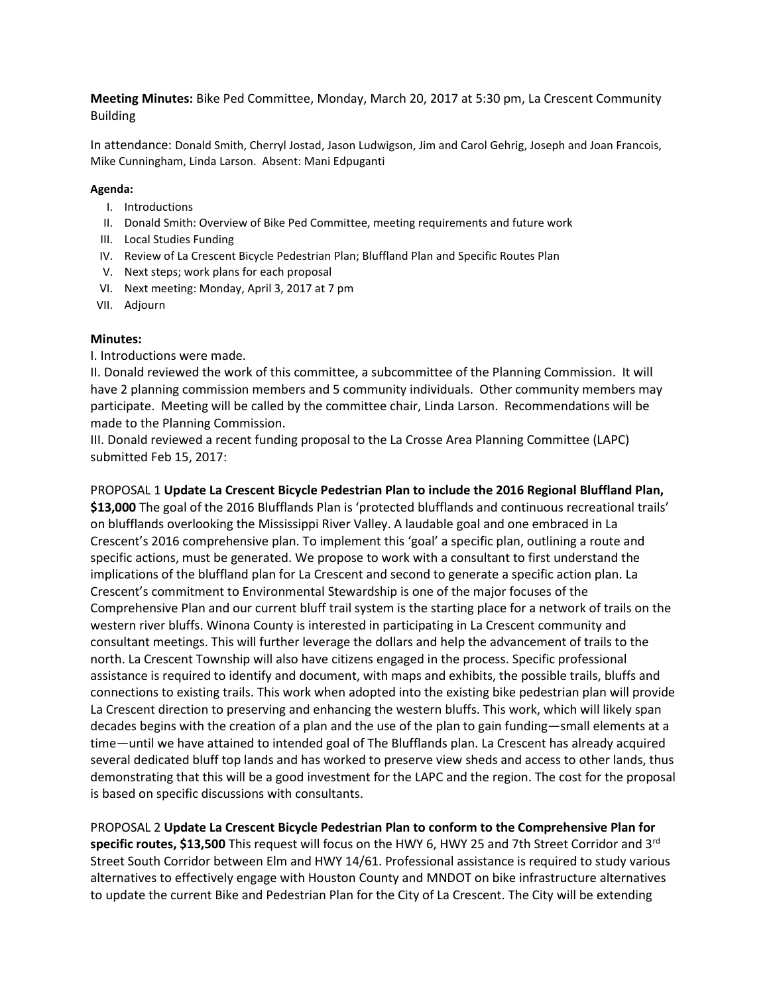**Meeting Minutes:** Bike Ped Committee, Monday, March 20, 2017 at 5:30 pm, La Crescent Community Building

In attendance: Donald Smith, Cherryl Jostad, Jason Ludwigson, Jim and Carol Gehrig, Joseph and Joan Francois, Mike Cunningham, Linda Larson. Absent: Mani Edpuganti

## **Agenda:**

- I. Introductions
- II. Donald Smith: Overview of Bike Ped Committee, meeting requirements and future work
- III. Local Studies Funding
- IV. Review of La Crescent Bicycle Pedestrian Plan; Bluffland Plan and Specific Routes Plan
- V. Next steps; work plans for each proposal
- VI. Next meeting: Monday, April 3, 2017 at 7 pm
- VII. Adjourn

## **Minutes:**

I. Introductions were made.

II. Donald reviewed the work of this committee, a subcommittee of the Planning Commission. It will have 2 planning commission members and 5 community individuals. Other community members may participate. Meeting will be called by the committee chair, Linda Larson. Recommendations will be made to the Planning Commission.

III. Donald reviewed a recent funding proposal to the La Crosse Area Planning Committee (LAPC) submitted Feb 15, 2017:

PROPOSAL 1 **Update La Crescent Bicycle Pedestrian Plan to include the 2016 Regional Bluffland Plan, \$13,000** The goal of the 2016 Blufflands Plan is 'protected blufflands and continuous recreational trails' on blufflands overlooking the Mississippi River Valley. A laudable goal and one embraced in La Crescent's 2016 comprehensive plan. To implement this 'goal' a specific plan, outlining a route and specific actions, must be generated. We propose to work with a consultant to first understand the implications of the bluffland plan for La Crescent and second to generate a specific action plan. La Crescent's commitment to Environmental Stewardship is one of the major focuses of the Comprehensive Plan and our current bluff trail system is the starting place for a network of trails on the western river bluffs. Winona County is interested in participating in La Crescent community and consultant meetings. This will further leverage the dollars and help the advancement of trails to the north. La Crescent Township will also have citizens engaged in the process. Specific professional assistance is required to identify and document, with maps and exhibits, the possible trails, bluffs and connections to existing trails. This work when adopted into the existing bike pedestrian plan will provide La Crescent direction to preserving and enhancing the western bluffs. This work, which will likely span decades begins with the creation of a plan and the use of the plan to gain funding—small elements at a time—until we have attained to intended goal of The Blufflands plan. La Crescent has already acquired several dedicated bluff top lands and has worked to preserve view sheds and access to other lands, thus demonstrating that this will be a good investment for the LAPC and the region. The cost for the proposal is based on specific discussions with consultants.

PROPOSAL 2 **Update La Crescent Bicycle Pedestrian Plan to conform to the Comprehensive Plan for specific routes, \$13,500** This request will focus on the HWY 6, HWY 25 and 7th Street Corridor and 3rd Street South Corridor between Elm and HWY 14/61. Professional assistance is required to study various alternatives to effectively engage with Houston County and MNDOT on bike infrastructure alternatives to update the current Bike and Pedestrian Plan for the City of La Crescent. The City will be extending